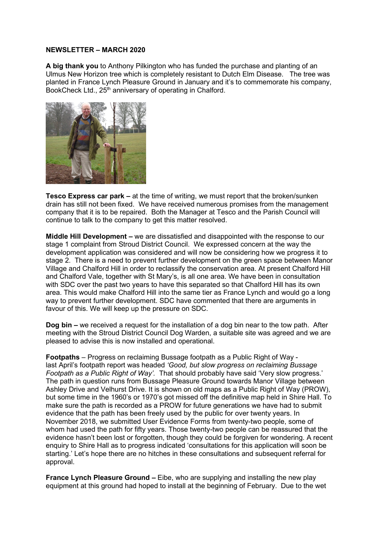## **NEWSLETTER – MARCH 2020**

**A big thank you** to Anthony Pilkington who has funded the purchase and planting of an Ulmus New Horizon tree which is completely resistant to Dutch Elm Disease. The tree was planted in France Lynch Pleasure Ground in January and it's to commemorate his company, BookCheck Ltd., 25<sup>th</sup> anniversary of operating in Chalford.



**Tesco Express car park –** at the time of writing, we must report that the broken/sunken drain has still not been fixed. We have received numerous promises from the management company that it is to be repaired. Both the Manager at Tesco and the Parish Council will continue to talk to the company to get this matter resolved.

**Middle Hill Development –** we are dissatisfied and disappointed with the response to our stage 1 complaint from Stroud District Council. We expressed concern at the way the development application was considered and will now be considering how we progress it to stage 2. There is a need to prevent further development on the green space between Manor Village and Chalford Hill in order to reclassify the conservation area. At present Chalford Hill and Chalford Vale, together with St Mary's, is all one area. We have been in consultation with SDC over the past two years to have this separated so that Chalford Hill has its own area. This would make Chalford Hill into the same tier as France Lynch and would go a long way to prevent further development. SDC have commented that there are arguments in favour of this. We will keep up the pressure on SDC.

**Dog bin –** we received a request for the installation of a dog bin near to the tow path. After meeting with the Stroud District Council Dog Warden, a suitable site was agreed and we are pleased to advise this is now installed and operational.

**Footpaths** – Progress on reclaiming Bussage footpath as a Public Right of Way last April's footpath report was headed *'Good, but slow progress on reclaiming Bussage Footpath as a Public Right of Way'.* That should probably have said 'Very slow progress.' The path in question runs from Bussage Pleasure Ground towards Manor Village between Ashley Drive and Velhurst Drive. It is shown on old maps as a Public Right of Way (PROW), but some time in the 1960's or 1970's got missed off the definitive map held in Shire Hall. To make sure the path is recorded as a PROW for future generations we have had to submit evidence that the path has been freely used by the public for over twenty years. In November 2018, we submitted User Evidence Forms from twenty-two people, some of whom had used the path for fifty years. Those twenty-two people can be reassured that the evidence hasn't been lost or forgotten, though they could be forgiven for wondering. A recent enquiry to Shire Hall as to progress indicated 'consultations for this application will soon be starting.' Let's hope there are no hitches in these consultations and subsequent referral for approval.

**France Lynch Pleasure Ground –** Eibe, who are supplying and installing the new play equipment at this ground had hoped to install at the beginning of February. Due to the wet